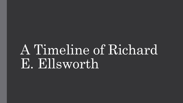# A Timeline of Richard E. Ellsworth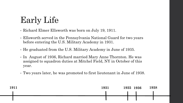# Early Life

• Richard Elmer Ellsworth was born on July 19, 1911.

- • Ellsworth served in the Pennsylvania National Guard for two years before entering the U.S. Military Academy in 1931.
- He graduated from the U.S. Military Academy in June of 1935.
- • In August of 1936, Richard married Mary Anne Thornton. He was assigned to squadron duties at Mitchel Field, NY in October of this year.
- Two years later, he was promoted to first lieutenant in June of 1938.

| 1911 | 1931 | 1935 1936 | 1938 |
|------|------|-----------|------|
|      |      |           |      |
|      |      |           |      |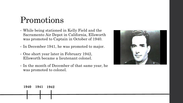### Promotions

- • While being stationed in Kelly Field and the Sacramento Air Depot in California, Ellsworth was promoted to Captain in October of 1940.
- In December 1941, he was promoted to major.
- • One short year later in February 1942, Ellsworth became a lieutenant colonel.
- • In the month of December of that same year, he was promoted to colonel.



#### **1940 1940 1941 1942**

I I I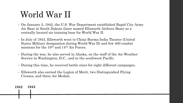# World War II

- • On January 2, 1942, the U.S. War Department established Rapid City Army Air Base in South Dakota (later named Ellsworth Airforce Base) as a centrally located air training base for World War II.
- • In July of 1943, Ellsworth went to China Burma India Theater (United States Military designation during World War II) and few 400 combat missions for the  $10^{\text{th}}$  and  $14^{\text{th}}$  Air Forces.
- • During the war, he also served in Alaska, on the staff of the Air Weather Service in Washington, D.C., and in the southwest Pacific.
- During this time, he received battle stars for eight different campaigns.
- • Ellsworth also earned the Legion of Merit, two Distinguished Flying Crosses, and three Air Medals.

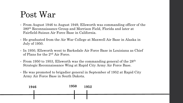#### Post War

- • From August 1946 to August 1949, Ellsworth was commanding officer of the 380th Reconnaissance Group and Morrison Field, Florida and later at Fairfield-Suisun Air Force Base in California.
- • He graduated from the Air War College at Maxwell Air Base in Alaska in July of 1950.
- • In 1950, Ellsworth went to Barksdale Air Force Base in Louisiana as Chief of Plans for the 2nd Air Force.
- From 1950 to 1953, Ellsworth was the commanding general of the  $28<sup>th</sup>$ Strategic Reconnaissance Wing at Rapid City Army Air Force Base.
- • He was promoted to brigadier general in September of 1952 at Rapid City Army Air Force Base in South Dakota.

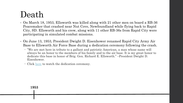### Death

- • On March 18, 1953, Ellsworth was killed along with 21 other men on board a RB-36 Peacemaker that crashed near Nut Cove, Newfoundland while flying back to Rapid City, SD. Ellsworth and his crew, along with 11 other RB-36s from Rapid City were participating in simulated combat missions.
- • On June 13, 1953, President Dwight D. Eisenhower renamed Rapid City Army Air Base to Ellsworth Air Force Base during a dedication ceremony following the crash.
	- "We are met here in tribute to a gallant and patriotic American, a man whose name will always be an honor to the members of his family and to the air base. It is my great honor to dedicate this base in honor of Brig. Gen. Richard E. Ellsworth." –President Dwight D. Eisenhower.
	- Click [here](http://www.sdpb.org/blogs/images-of-the-past/ellsworth-air-force-base-1942-1957/) to watch the dedication ceremony.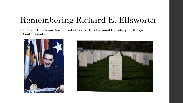# Remembering Richard E. Ellsworth

 • Richard E. Ellsworth is buried at Black Hills National Cemetery in Sturgis, South Dakota.



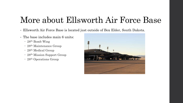### More about Ellsworth Air Force Base

- Ellsworth Air Force Base is located just outside of Box Elder, South Dakota.
- The base includes main 6 units:
	- 28th Bomb Wing
	- 28<sup>th</sup> Maintenance Group
	- 28<sup>th</sup> Medical Group
	- 28<sup>th</sup> Mission Support Group
	- 28<sup>th</sup> Operations Group

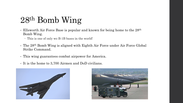# 28th Bomb Wing

- Ellsworth Air Force Base is popular and known for being home to the 28<sup>th</sup> Bomb Wing.
	- This is one of only wo B-1B bases in the world!
- • The 28th Bomb Wing is aligned with Eighth Air Force under Air Force Global Strike Command.
- This wing guarantees combat airpower for America.
- It is the home to 3,700 Airmen and DoD civilians.